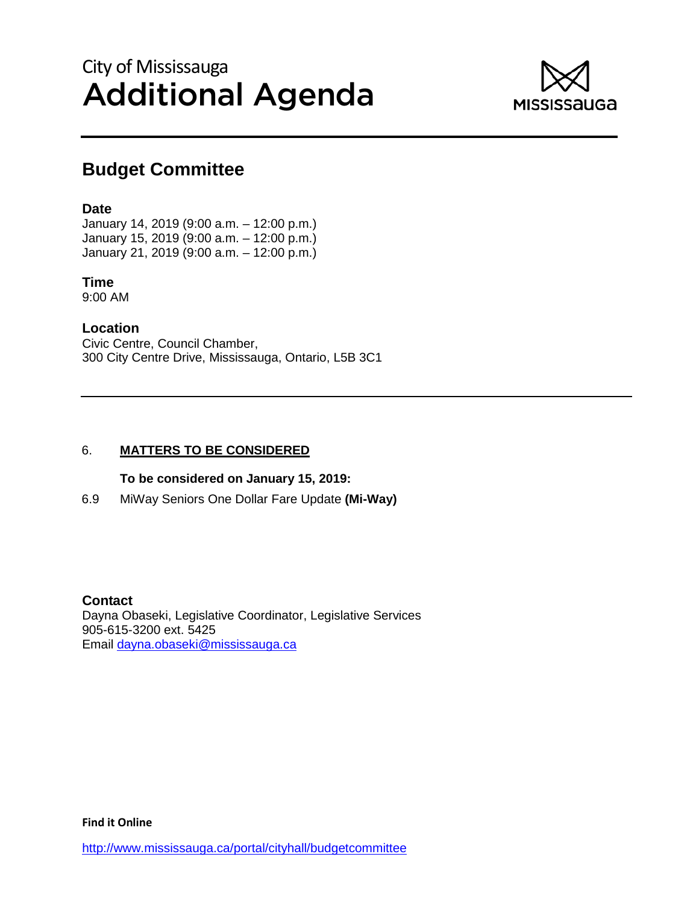# City of Mississauga Additional Agenda



### **Budget Committee**

#### **Date**

January 14, 2019 (9:00 a.m. – 12:00 p.m.) January 15, 2019 (9:00 a.m. – 12:00 p.m.) January 21, 2019 (9:00 a.m. – 12:00 p.m.)

### **Time**

9:00 AM

#### **Location**

Civic Centre, Council Chamber, 300 City Centre Drive, Mississauga, Ontario, L5B 3C1

#### 6. **MATTERS TO BE CONSIDERED**

#### **To be considered on January 15, 2019:**

6.9 MiWay Seniors One Dollar Fare Update **(Mi-Way)**

#### **Contact**

Dayna Obaseki, Legislative Coordinator, Legislative Services 905-615-3200 ext. 5425 Email dayna.obaseki@mississauga.ca

**Find it Online**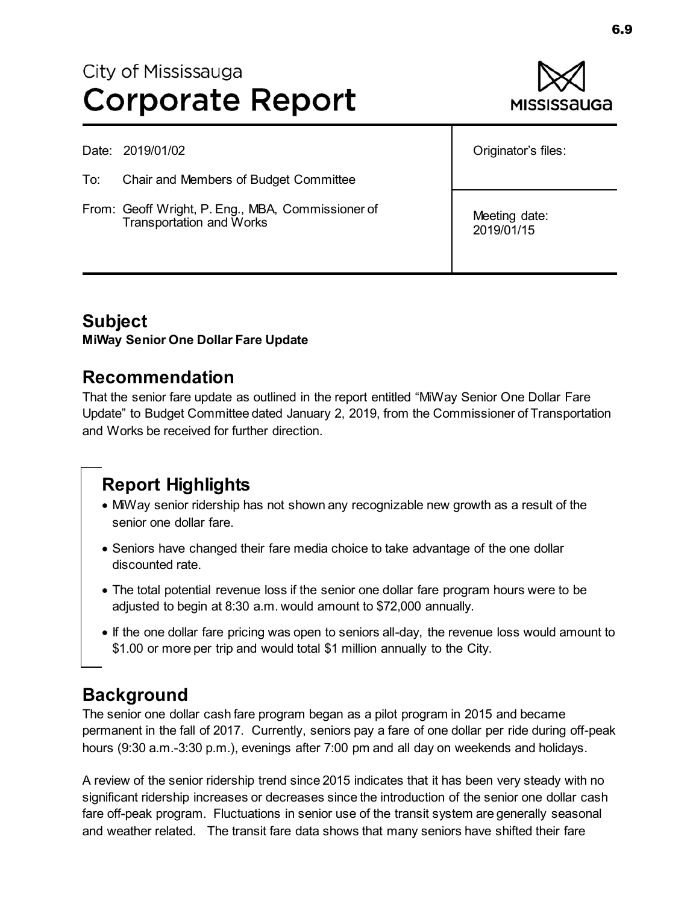# City of Mississauga **Corporate Report**



Date: 2019/01/02

- To: Chair and Members of Budget Committee
- From: Geoff Wright, P. Eng., MBA, Commissioner of Transportation and Works

Originator's files:

Meeting date: 2019/01/15

### **Subject**

**MiWay Senior One Dollar Fare Update** 

### **Recommendation**

That the senior fare update as outlined in the report entitled "MiWay Senior One Dollar Fare Update" to Budget Committee dated January 2, 2019, from the Commissioner of Transportation and Works be received for further direction.

# **Report Highlights**

- MiWay senior ridership has not shown any recognizable new growth as a result of the senior one dollar fare.
- Seniors have changed their fare media choice to take advantage of the one dollar discounted rate.
- The total potential revenue loss if the senior one dollar fare program hours were to be adjusted to begin at 8:30 a.m. would amount to \$72,000 annually.
- If the one dollar fare pricing was open to seniors all-day, the revenue loss would amount to \$1.00 or more per trip and would total \$1 million annually to the City.

### **Background**

The senior one dollar cash fare program began as a pilot program in 2015 and became permanent in the fall of 2017. Currently, seniors pay a fare of one dollar per ride during off-peak hours (9:30 a.m.-3:30 p.m.), evenings after 7:00 pm and all day on weekends and holidays.

A review of the senior ridership trend since 2015 indicates that it has been very steady with no significant ridership increases or decreases since the introduction of the senior one dollar cash fare off-peak program. Fluctuations in senior use of the transit system are generally seasonal and weather related. The transit fare data shows that many seniors have shifted their fare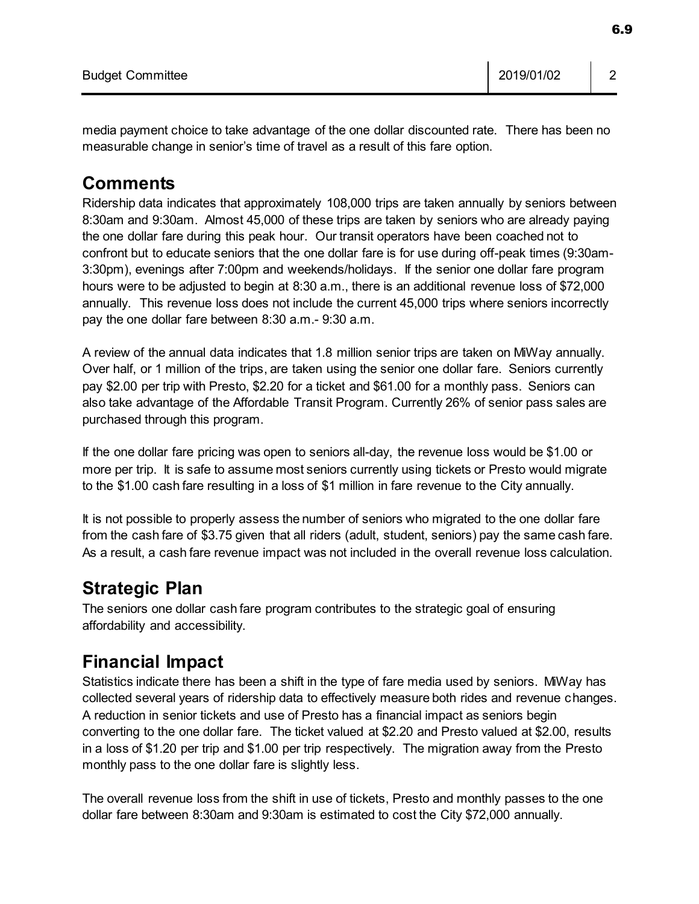6.9

media payment choice to take advantage of the one dollar discounted rate. There has been no measurable change in senior's time of travel as a result of this fare option.

## **Comments**

Ridership data indicates that approximately 108,000 trips are taken annually by seniors between 8:30am and 9:30am. Almost 45,000 of these trips are taken by seniors who are already paying the one dollar fare during this peak hour. Our transit operators have been coached not to confront but to educate seniors that the one dollar fare is for use during off-peak times (9:30am-3:30pm), evenings after 7:00pm and weekends/holidays. If the senior one dollar fare program hours were to be adjusted to begin at 8:30 a.m., there is an additional revenue loss of \$72,000 annually. This revenue loss does not include the current 45,000 trips where seniors incorrectly pay the one dollar fare between 8:30 a.m.- 9:30 a.m.

A review of the annual data indicates that 1.8 million senior trips are taken on MiWay annually. Over half, or 1 million of the trips, are taken using the senior one dollar fare. Seniors currently pay \$2.00 per trip with Presto, \$2.20 for a ticket and \$61.00 for a monthly pass. Seniors can also take advantage of the Affordable Transit Program. Currently 26% of senior pass sales are purchased through this program.

If the one dollar fare pricing was open to seniors all-day, the revenue loss would be \$1.00 or more per trip. It is safe to assume most seniors currently using tickets or Presto would migrate to the \$1.00 cash fare resulting in a loss of \$1 million in fare revenue to the City annually.

It is not possible to properly assess the number of seniors who migrated to the one dollar fare from the cash fare of \$3.75 given that all riders (adult, student, seniors) pay the same cash fare. As a result, a cash fare revenue impact was not included in the overall revenue loss calculation.

# **Strategic Plan**

The seniors one dollar cash fare program contributes to the strategic goal of ensuring affordability and accessibility.

# **Financial Impact**

Statistics indicate there has been a shift in the type of fare media used by seniors. MiWay has collected several years of ridership data to effectively measure both rides and revenue changes. A reduction in senior tickets and use of Presto has a financial impact as seniors begin converting to the one dollar fare. The ticket valued at \$2.20 and Presto valued at \$2.00, results in a loss of \$1.20 per trip and \$1.00 per trip respectively. The migration away from the Presto monthly pass to the one dollar fare is slightly less.

The overall revenue loss from the shift in use of tickets, Presto and monthly passes to the one dollar fare between 8:30am and 9:30am is estimated to cost the City \$72,000 annually.